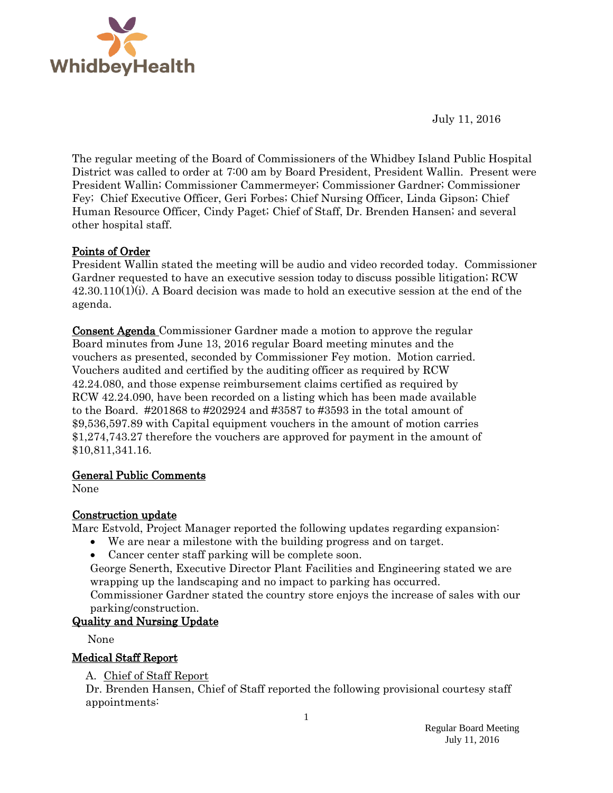

July 11, 2016

The regular meeting of the Board of Commissioners of the Whidbey Island Public Hospital District was called to order at 7:00 am by Board President, President Wallin. Present were President Wallin; Commissioner Cammermeyer; Commissioner Gardner; Commissioner Fey; Chief Executive Officer, Geri Forbes; Chief Nursing Officer, Linda Gipson; Chief Human Resource Officer, Cindy Paget; Chief of Staff, Dr. Brenden Hansen; and several other hospital staff.

## Points of Order

President Wallin stated the meeting will be audio and video recorded today. Commissioner Gardner requested to have an executive session today to discuss possible litigation; RCW  $42.30.110(1)(i)$ . A Board decision was made to hold an executive session at the end of the agenda.

Consent Agenda Commissioner Gardner made a motion to approve the regular Board minutes from June 13, 2016 regular Board meeting minutes and the vouchers as presented, seconded by Commissioner Fey motion. Motion carried. Vouchers audited and certified by the auditing officer as required by RCW 42.24.080, and those expense reimbursement claims certified as required by RCW 42.24.090, have been recorded on a listing which has been made available to the Board. #201868 to #202924 and #3587 to #3593 in the total amount of \$9,536,597.89 with Capital equipment vouchers in the amount of motion carries \$1,274,743.27 therefore the vouchers are approved for payment in the amount of \$10,811,341.16.

## General Public Comments

None

## Construction update

Marc Estvold, Project Manager reported the following updates regarding expansion:

- We are near a milestone with the building progress and on target.
- Cancer center staff parking will be complete soon.

George Senerth, Executive Director Plant Facilities and Engineering stated we are wrapping up the landscaping and no impact to parking has occurred.

Commissioner Gardner stated the country store enjoys the increase of sales with our parking/construction.

## Quality and Nursing Update

None

## Medical Staff Report

## A. Chief of Staff Report

Dr. Brenden Hansen, Chief of Staff reported the following provisional courtesy staff appointments: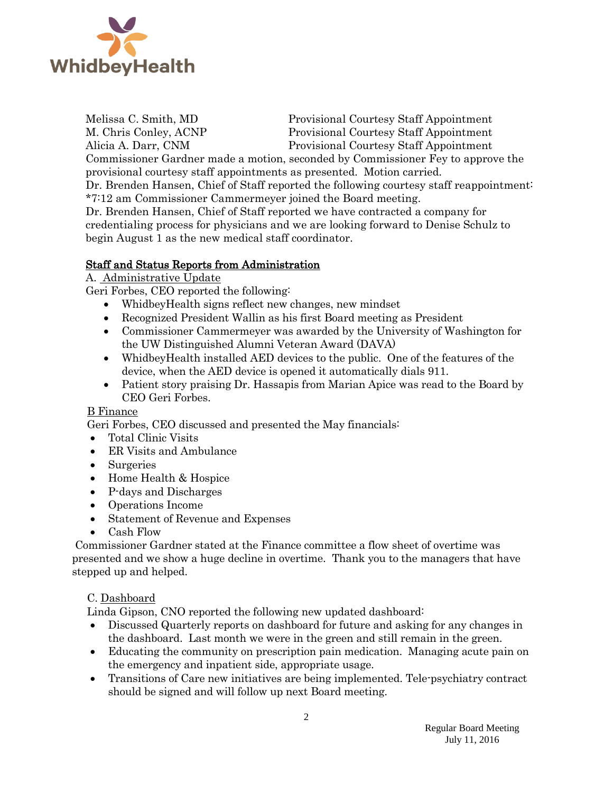

Melissa C. Smith, MD Provisional Courtesy Staff Appointment M. Chris Conley, ACNP Provisional Courtesy Staff Appointment Alicia A. Darr, CNM Provisional Courtesy Staff Appointment

Commissioner Gardner made a motion, seconded by Commissioner Fey to approve the provisional courtesy staff appointments as presented. Motion carried.

Dr. Brenden Hansen, Chief of Staff reported the following courtesy staff reappointment: \*7:12 am Commissioner Cammermeyer joined the Board meeting.

Dr. Brenden Hansen, Chief of Staff reported we have contracted a company for credentialing process for physicians and we are looking forward to Denise Schulz to begin August 1 as the new medical staff coordinator.

# Staff and Status Reports from Administration

A. Administrative Update

Geri Forbes, CEO reported the following:

- WhidbeyHealth signs reflect new changes, new mindset
- Recognized President Wallin as his first Board meeting as President
- Commissioner Cammermeyer was awarded by the University of Washington for the UW Distinguished Alumni Veteran Award (DAVA)
- WhidbeyHealth installed AED devices to the public. One of the features of the device, when the AED device is opened it automatically dials 911.
- Patient story praising Dr. Hassapis from Marian Apice was read to the Board by CEO Geri Forbes.

## B Finance

Geri Forbes, CEO discussed and presented the May financials:

- Total Clinic Visits
- ER Visits and Ambulance
- Surgeries
- Home Health & Hospice
- P-days and Discharges
- Operations Income
- Statement of Revenue and Expenses
- Cash Flow

Commissioner Gardner stated at the Finance committee a flow sheet of overtime was presented and we show a huge decline in overtime. Thank you to the managers that have stepped up and helped.

## C. Dashboard

Linda Gipson, CNO reported the following new updated dashboard:

- Discussed Quarterly reports on dashboard for future and asking for any changes in the dashboard. Last month we were in the green and still remain in the green.
- Educating the community on prescription pain medication. Managing acute pain on the emergency and inpatient side, appropriate usage.
- Transitions of Care new initiatives are being implemented. Tele-psychiatry contract should be signed and will follow up next Board meeting.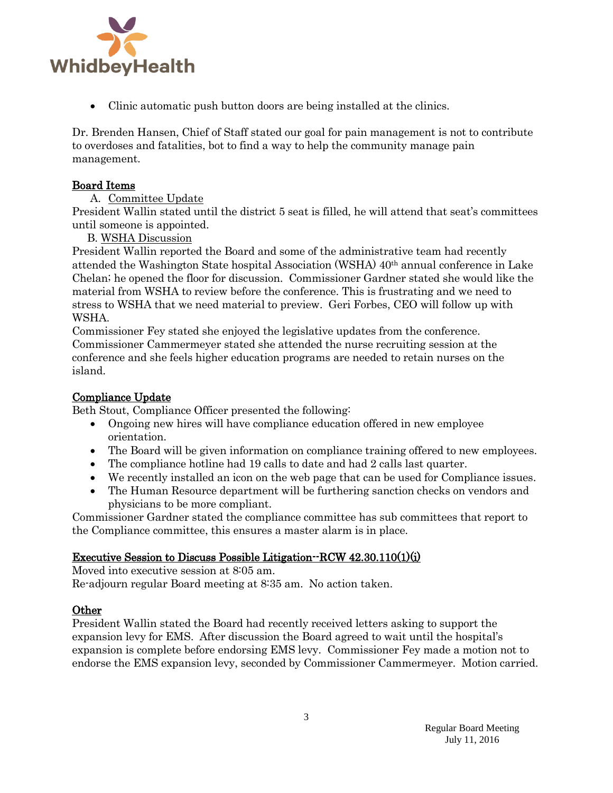

Clinic automatic push button doors are being installed at the clinics.

Dr. Brenden Hansen, Chief of Staff stated our goal for pain management is not to contribute to overdoses and fatalities, bot to find a way to help the community manage pain management.

#### Board Items

#### A. Committee Update

President Wallin stated until the district 5 seat is filled, he will attend that seat's committees until someone is appointed.

#### B. WSHA Discussion

President Wallin reported the Board and some of the administrative team had recently attended the Washington State hospital Association (WSHA) 40th annual conference in Lake Chelan; he opened the floor for discussion. Commissioner Gardner stated she would like the material from WSHA to review before the conference. This is frustrating and we need to stress to WSHA that we need material to preview. Geri Forbes, CEO will follow up with WSHA.

Commissioner Fey stated she enjoyed the legislative updates from the conference. Commissioner Cammermeyer stated she attended the nurse recruiting session at the conference and she feels higher education programs are needed to retain nurses on the island.

#### Compliance Update

Beth Stout, Compliance Officer presented the following:

- Ongoing new hires will have compliance education offered in new employee orientation.
- The Board will be given information on compliance training offered to new employees.
- The compliance hotline had 19 calls to date and had 2 calls last quarter.
- We recently installed an icon on the web page that can be used for Compliance issues.
- The Human Resource department will be furthering sanction checks on vendors and physicians to be more compliant.

Commissioner Gardner stated the compliance committee has sub committees that report to the Compliance committee, this ensures a master alarm is in place.

## Executive Session to Discuss Possible Litigation--RCW 42.30.110(1)(i)

Moved into executive session at 8:05 am. Re-adjourn regular Board meeting at 8:35 am. No action taken.

## Other

President Wallin stated the Board had recently received letters asking to support the expansion levy for EMS. After discussion the Board agreed to wait until the hospital's expansion is complete before endorsing EMS levy. Commissioner Fey made a motion not to endorse the EMS expansion levy, seconded by Commissioner Cammermeyer. Motion carried.